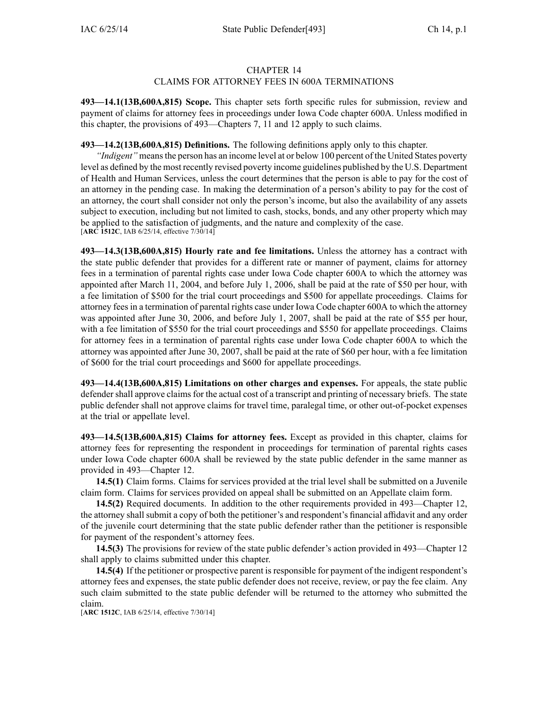## CHAPTER 14

## CLAIMS FOR ATTORNEY FEES IN 600A TERMINATIONS

**493—14.1(13B,600A,815) Scope.** This chapter sets forth specific rules for submission, review and paymen<sup>t</sup> of claims for attorney fees in proceedings under Iowa Code chapter [600A](https://www.legis.iowa.gov/docs/ico/chapter/600A.pdf). Unless modified in this chapter, the provisions of 493—Chapters 7, 11 and 12 apply to such claims.

**493—14.2(13B,600A,815) Definitions.** The following definitions apply only to this chapter.

*"Indigent"* means the person has an income level at or below 100 percent of the United States poverty level as defined by the most recently revised poverty income guidelines published by the U.S. Department of Health and Human Services, unless the court determines that the person is able to pay for the cost of an attorney in the pending case. In making the determination of <sup>a</sup> person's ability to pay for the cost of an attorney, the court shall consider not only the person's income, but also the availability of any assets subject to execution, including but not limited to cash, stocks, bonds, and any other property which may be applied to the satisfaction of judgments, and the nature and complexity of the case.  $[ABC\ 1512C, IAB\ 6/25/14, effective\ 7/30/14]$ 

**493—14.3(13B,600A,815) Hourly rate and fee limitations.** Unless the attorney has <sup>a</sup> contract with the state public defender that provides for <sup>a</sup> different rate or manner of payment, claims for attorney fees in <sup>a</sup> termination of parental rights case under Iowa Code chapter [600A](https://www.legis.iowa.gov/docs/ico/chapter/600A.pdf) to which the attorney was appointed after March 11, 2004, and before July 1, 2006, shall be paid at the rate of \$50 per hour, with <sup>a</sup> fee limitation of \$500 for the trial court proceedings and \$500 for appellate proceedings. Claims for attorney feesin <sup>a</sup> termination of parental rights case under Iowa Code chapter [600A](https://www.legis.iowa.gov/docs/ico/chapter/600A.pdf) to which the attorney was appointed after June 30, 2006, and before July 1, 2007, shall be paid at the rate of \$55 per hour, with <sup>a</sup> fee limitation of \$550 for the trial court proceedings and \$550 for appellate proceedings. Claims for attorney fees in <sup>a</sup> termination of parental rights case under Iowa Code chapter [600A](https://www.legis.iowa.gov/docs/ico/chapter/600A.pdf) to which the attorney was appointed after June 30, 2007, shall be paid at the rate of \$60 per hour, with <sup>a</sup> fee limitation of \$600 for the trial court proceedings and \$600 for appellate proceedings.

**493—14.4(13B,600A,815) Limitations on other charges and expenses.** For appeals, the state public defender shall approve claims for the actual cost of a transcript and printing of necessary briefs. The state public defender shall not approve claims for travel time, paralegal time, or other out-of-pocket expenses at the trial or appellate level.

**493—14.5(13B,600A,815) Claims for attorney fees.** Except as provided in this chapter, claims for attorney fees for representing the respondent in proceedings for termination of parental rights cases under Iowa Code chapter [600A](https://www.legis.iowa.gov/docs/ico/chapter/600A.pdf) shall be reviewed by the state public defender in the same manner as provided in 493—Chapter 12.

**14.5(1)** Claim forms. Claims for services provided at the trial level shall be submitted on <sup>a</sup> Juvenile claim form. Claims for services provided on appeal shall be submitted on an Appellate claim form.

**14.5(2)** Required documents. In addition to the other requirements provided in 493—Chapter 12, the attorney shall submit <sup>a</sup> copy of both the petitioner's and respondent's financial affidavit and any order of the juvenile court determining that the state public defender rather than the petitioner is responsible for paymen<sup>t</sup> of the respondent's attorney fees.

**14.5(3)** The provisions for review of the state public defender's action provided in 493—Chapter 12 shall apply to claims submitted under this chapter.

**14.5(4)** If the petitioner or prospective paren<sup>t</sup> is responsible for paymen<sup>t</sup> of the indigent respondent's attorney fees and expenses, the state public defender does not receive, review, or pay the fee claim. Any such claim submitted to the state public defender will be returned to the attorney who submitted the claim.

[**ARC 1512C**, IAB 6/25/14, effective 7/30/14]